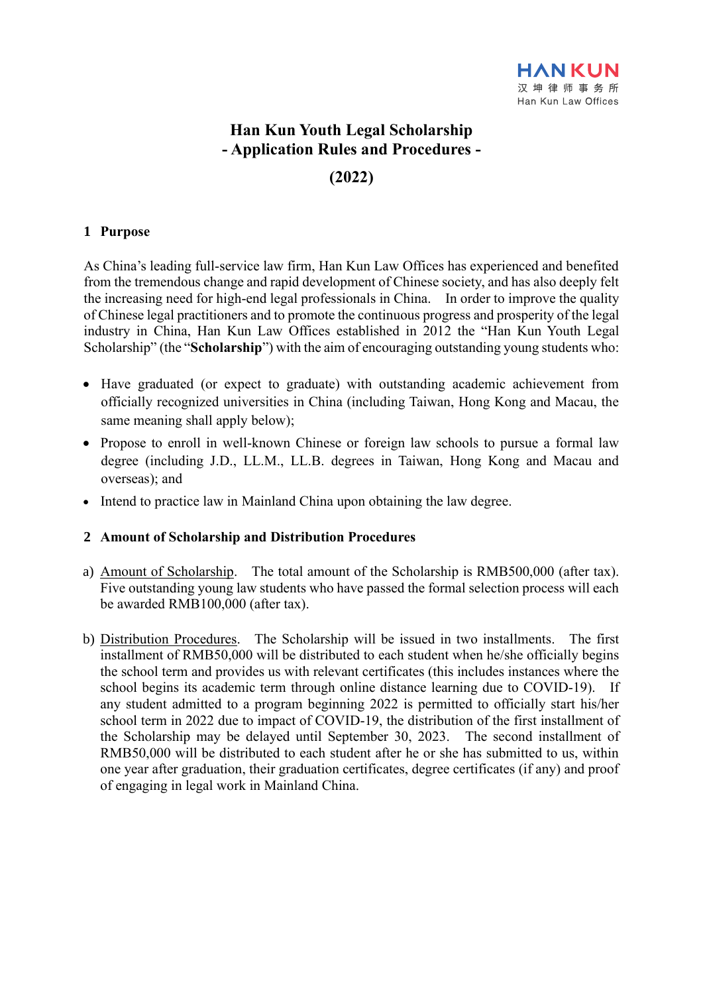# **Han Kun Youth Legal Scholarship - Application Rules and Procedures -**

## **(2022)**

### **1 Purpose**

As China's leading full-service law firm, Han Kun Law Offices has experienced and benefited from the tremendous change and rapid development of Chinese society, and has also deeply felt the increasing need for high-end legal professionals in China. In order to improve the quality of Chinese legal practitioners and to promote the continuous progress and prosperity of the legal industry in China, Han Kun Law Offices established in 2012 the "Han Kun Youth Legal Scholarship" (the "**Scholarship**") with the aim of encouraging outstanding young students who:

- Have graduated (or expect to graduate) with outstanding academic achievement from officially recognized universities in China (including Taiwan, Hong Kong and Macau, the same meaning shall apply below);
- Propose to enroll in well-known Chinese or foreign law schools to pursue a formal law degree (including J.D., LL.M., LL.B. degrees in Taiwan, Hong Kong and Macau and overseas); and
- Intend to practice law in Mainland China upon obtaining the law degree.

#### **2 Amount of Scholarship and Distribution Procedures**

- a) Amount of Scholarship. The total amount of the Scholarship is RMB500,000 (after tax). Five outstanding young law students who have passed the formal selection process will each be awarded RMB100,000 (after tax).
- b) Distribution Procedures. The Scholarship will be issued in two installments. The first installment of RMB50,000 will be distributed to each student when he/she officially begins the school term and provides us with relevant certificates (this includes instances where the school begins its academic term through online distance learning due to COVID-19). If any student admitted to a program beginning 2022 is permitted to officially start his/her school term in 2022 due to impact of COVID-19, the distribution of the first installment of the Scholarship may be delayed until September 30, 2023. The second installment of RMB50,000 will be distributed to each student after he or she has submitted to us, within one year after graduation, their graduation certificates, degree certificates (if any) and proof of engaging in legal work in Mainland China.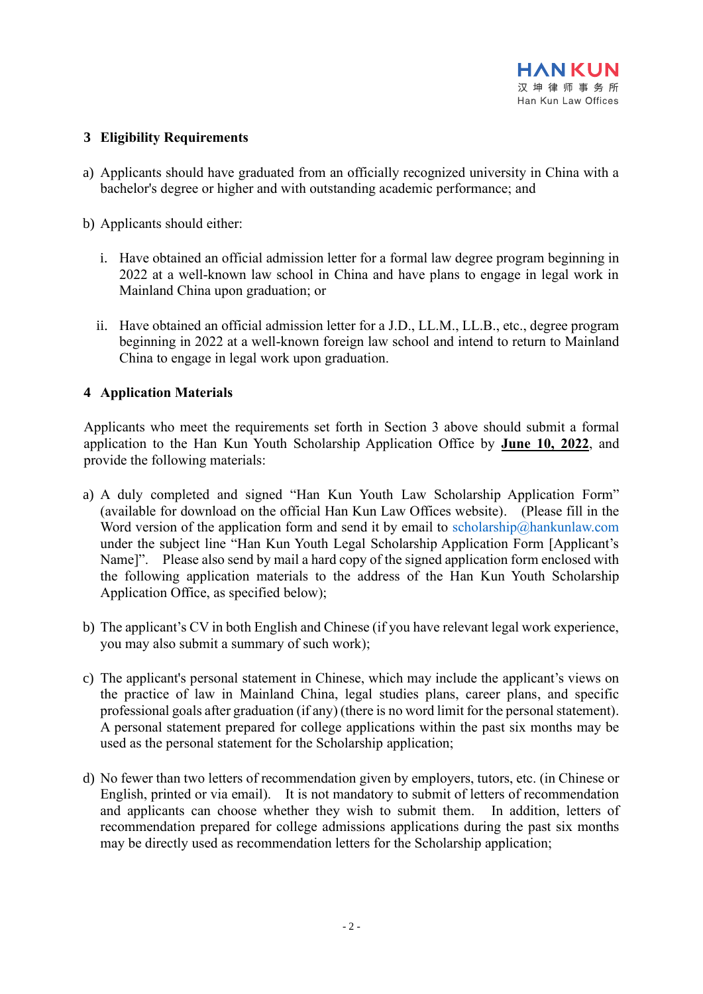#### **3 Eligibility Requirements**

- a) Applicants should have graduated from an officially recognized university in China with a bachelor's degree or higher and with outstanding academic performance; and
- b) Applicants should either:
	- i. Have obtained an official admission letter for a formal law degree program beginning in 2022 at a well-known law school in China and have plans to engage in legal work in Mainland China upon graduation; or
	- ii. Have obtained an official admission letter for a J.D., LL.M., LL.B., etc., degree program beginning in 2022 at a well-known foreign law school and intend to return to Mainland China to engage in legal work upon graduation.

#### **4 Application Materials**

Applicants who meet the requirements set forth in Section 3 above should submit a formal application to the Han Kun Youth Scholarship Application Office by **June 10, 2022**, and provide the following materials:

- a) A duly completed and signed "Han Kun Youth Law Scholarship Application Form" (available for download on the official Han Kun Law Offices website). (Please fill in the Word version of the application form and send it by email to [scholarship@hankunlaw.com](mailto:scholarship@hankunlaw.com) under the subject line "Han Kun Youth Legal Scholarship Application Form [Applicant's Name]". Please also send by mail a hard copy of the signed application form enclosed with the following application materials to the address of the Han Kun Youth Scholarship Application Office, as specified below);
- b) The applicant's CV in both English and Chinese (if you have relevant legal work experience, you may also submit a summary of such work);
- c) The applicant's personal statement in Chinese, which may include the applicant's views on the practice of law in Mainland China, legal studies plans, career plans, and specific professional goals after graduation (if any) (there is no word limit for the personal statement). A personal statement prepared for college applications within the past six months may be used as the personal statement for the Scholarship application;
- d) No fewer than two letters of recommendation given by employers, tutors, etc. (in Chinese or English, printed or via email). It is not mandatory to submit of letters of recommendation and applicants can choose whether they wish to submit them. In addition, letters of recommendation prepared for college admissions applications during the past six months may be directly used as recommendation letters for the Scholarship application;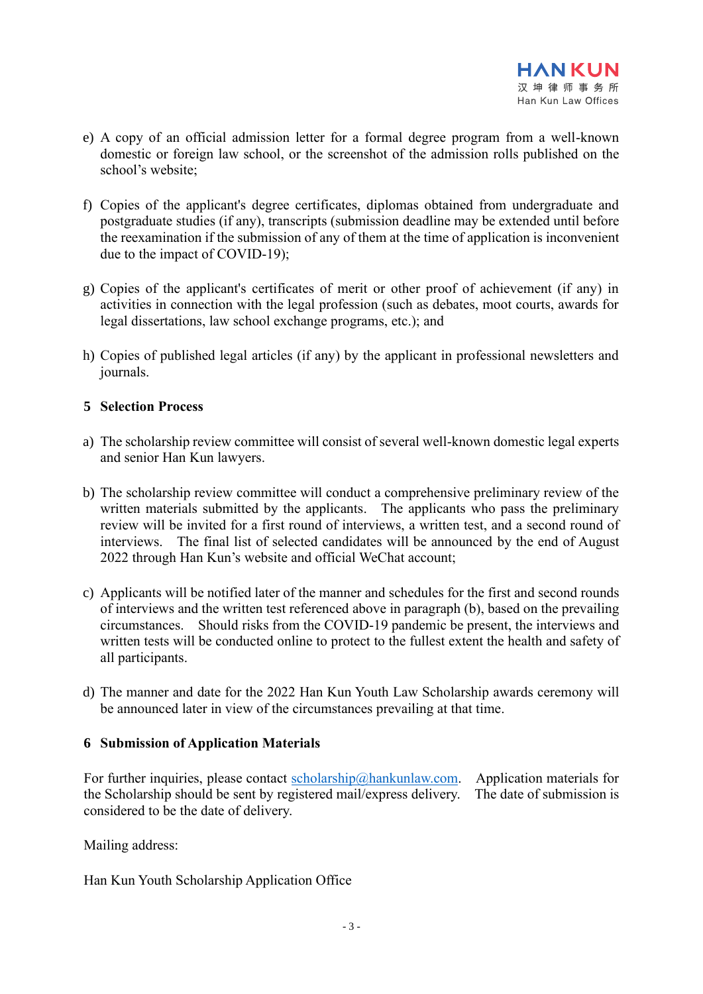- e) A copy of an official admission letter for a formal degree program from a well-known domestic or foreign law school, or the screenshot of the admission rolls published on the school's website;
- f) Copies of the applicant's degree certificates, diplomas obtained from undergraduate and postgraduate studies (if any), transcripts (submission deadline may be extended until before the reexamination if the submission of any of them at the time of application is inconvenient due to the impact of COVID-19);
- g) Copies of the applicant's certificates of merit or other proof of achievement (if any) in activities in connection with the legal profession (such as debates, moot courts, awards for legal dissertations, law school exchange programs, etc.); and
- h) Copies of published legal articles (if any) by the applicant in professional newsletters and journals.

#### **5 Selection Process**

- a) The scholarship review committee will consist of several well-known domestic legal experts and senior Han Kun lawyers.
- b) The scholarship review committee will conduct a comprehensive preliminary review of the written materials submitted by the applicants. The applicants who pass the preliminary review will be invited for a first round of interviews, a written test, and a second round of interviews. The final list of selected candidates will be announced by the end of August 2022 through Han Kun's website and official WeChat account;
- c) Applicants will be notified later of the manner and schedules for the first and second rounds of interviews and the written test referenced above in paragraph (b), based on the prevailing circumstances. Should risks from the COVID-19 pandemic be present, the interviews and written tests will be conducted online to protect to the fullest extent the health and safety of all participants.
- d) The manner and date for the 2022 Han Kun Youth Law Scholarship awards ceremony will be announced later in view of the circumstances prevailing at that time.

#### **6 Submission of Application Materials**

For further inquiries, please contact [scholarship@hankunlaw.com.](mailto:scholarship@hankunlaw.com) Application materials for the Scholarship should be sent by registered mail/express delivery. The date of submission is considered to be the date of delivery.

Mailing address:

Han Kun Youth Scholarship Application Office